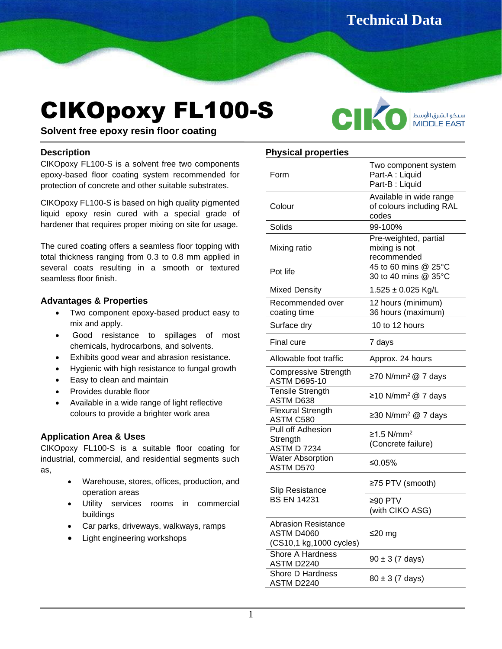**Technical Data** 

# CIKOpoxy FL100-S

**Sheet**



**Solvent free epoxy resin floor coating**

## **Description**

CIKOpoxy FL100-S is a solvent free two components epoxy-based floor coating system recommended for protection of concrete and other suitable substrates. İ

CIKOpoxy FL100-S is based on high quality pigmented liquid epoxy resin cured with a special grade of hardener that requires proper mixing on site for usage.

The cured coating offers a seamless floor topping with total thickness ranging from 0.3 to 0.8 mm applied in several coats resulting in a smooth or textured seamless floor finish.

## **Advantages & Properties**

- Two component epoxy-based product easy to mix and apply.
- Good resistance to spillages of most chemicals, hydrocarbons, and solvents.
- Exhibits good wear and abrasion resistance.
- Hygienic with high resistance to fungal growth
- Easy to clean and maintain
- Provides durable floor
- Available in a wide range of light reflective colours to provide a brighter work area

## **Application Area & Uses**

CIKOpoxy FL100-S is a suitable floor coating for industrial, commercial, and residential segments such as,

- Warehouse, stores, offices, production, and operation areas
- Utility services rooms in commercial buildings
- Car parks, driveways, walkways, ramps
- Light engineering workshops

## **Physical properties**

| Form                                                                | Two component system<br>Part-A : Liquid<br>Part-B: Liquid    |  |
|---------------------------------------------------------------------|--------------------------------------------------------------|--|
| Colour                                                              | Available in wide range<br>of colours including RAL<br>codes |  |
| Solids                                                              | 99-100%                                                      |  |
| Mixing ratio                                                        | Pre-weighted, partial<br>mixing is not<br>recommended        |  |
| Pot life                                                            | 45 to 60 mins @ 25°C<br>30 to 40 mins @ 35°C                 |  |
| <b>Mixed Density</b>                                                | $1.525 \pm 0.025$ Kg/L                                       |  |
| Recommended over<br>coating time                                    | 12 hours (minimum)<br>36 hours (maximum)                     |  |
| Surface dry                                                         | 10 to 12 hours                                               |  |
| Final cure                                                          | 7 days                                                       |  |
| Allowable foot traffic                                              | Approx. 24 hours                                             |  |
| Compressive Strength<br><b>ASTM D695-10</b>                         | ≥70 N/mm <sup>2</sup> @ 7 days                               |  |
| <b>Tensile Strength</b><br>ASTM D638                                | ≥10 N/mm <sup>2</sup> @ 7 days                               |  |
| <b>Flexural Strength</b><br>ASTM C580                               | ≥30 N/mm <sup>2</sup> @ 7 days                               |  |
| Pull off Adhesion<br>Strength<br><b>ASTM D 7234</b>                 | $≥1.5$ N/mm <sup>2</sup><br>(Concrete failure)               |  |
| <b>Water Absorption</b><br>ASTM D570                                | ≤0.05%                                                       |  |
| <b>Slip Resistance</b><br><b>BS EN 14231</b>                        | ≥75 PTV (smooth)                                             |  |
|                                                                     | ≥90 PTV<br>(with CIKO ASG)                                   |  |
| <b>Abrasion Resistance</b><br>ASTM D4060<br>(CS10,1 kg,1000 cycles) | ≤20 mg                                                       |  |
| <b>Shore A Hardness</b><br>ASTM D2240                               | $90 \pm 3$ (7 days)                                          |  |
| Shore D Hardness<br>ASTM D2240                                      | $80 \pm 3$ (7 days)                                          |  |
|                                                                     |                                                              |  |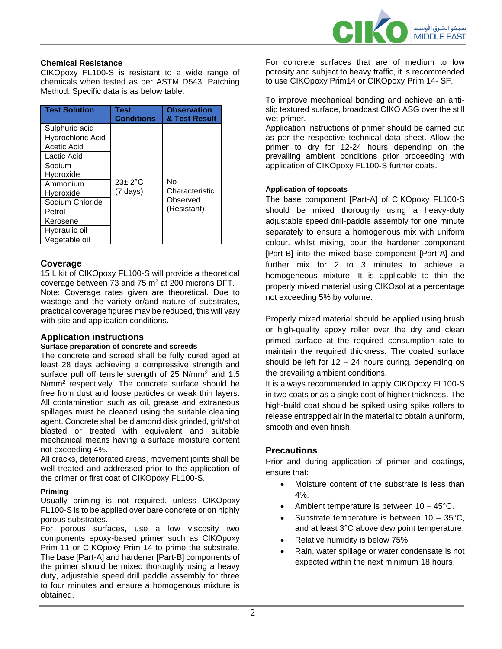

#### **Chemical Resistance**

CIKOpoxy FL100-S is resistant to a wide range of chemicals when tested as per ASTM D543, Patching Method. Specific data is as below table:

| <b>Test Solution</b>     | Test<br><b>Conditions</b> | <b>Observation</b><br>& Test Result |
|--------------------------|---------------------------|-------------------------------------|
| Sulphuric acid           |                           |                                     |
| <b>Hydrochloric Acid</b> |                           |                                     |
| Acetic Acid              |                           |                                     |
| Lactic Acid              |                           |                                     |
| Sodium                   |                           |                                     |
| Hydroxide                |                           |                                     |
| Ammonium                 | $23+2$ °C                 | N٥                                  |
| Hydroxide                | $(7 \text{ days})$        | Characteristic                      |
| Sodium Chloride          |                           | Observed                            |
| Petrol                   |                           | (Resistant)                         |
| Kerosene                 |                           |                                     |
| Hydraulic oil            |                           |                                     |
| Vegetable oil            |                           |                                     |

## **Coverage**

15 L kit of CIKOpoxy FL100-S will provide a theoretical coverage between 73 and 75 m<sup>2</sup> at 200 microns DFT. Note: Coverage rates given are theoretical. Due to wastage and the variety or/and nature of substrates, practical coverage figures may be reduced, this will vary with site and application conditions.

## **Application instructions**

#### **Surface preparation of concrete and screeds**

The concrete and screed shall be fully cured aged at least 28 days achieving a compressive strength and surface pull off tensile strength of 25 N/mm<sup>2</sup> and 1.5 N/mm<sup>2</sup> respectively. The concrete surface should be free from dust and loose particles or weak thin layers. All contamination such as oil, grease and extraneous spillages must be cleaned using the suitable cleaning agent. Concrete shall be diamond disk grinded, grit/shot blasted or treated with equivalent and suitable mechanical means having a surface moisture content not exceeding 4%.

All cracks, deteriorated areas, movement joints shall be well treated and addressed prior to the application of the primer or first coat of CIKOpoxy FL100-S.

#### **Priming**

Usually priming is not required, unless CIKOpoxy FL100-S is to be applied over bare concrete or on highly porous substrates.

For porous surfaces, use a low viscosity two components epoxy-based primer such as CIKOpoxy Prim 11 or CIKOpoxy Prim 14 to prime the substrate. The base [Part-A] and hardener [Part-B] components of the primer should be mixed thoroughly using a heavy duty, adjustable speed drill paddle assembly for three to four minutes and ensure a homogenous mixture is obtained.

For concrete surfaces that are of medium to low porosity and subject to heavy traffic, it is recommended to use CIKOpoxy Prim14 or CIKOpoxy Prim 14- SF.

To improve mechanical bonding and achieve an antislip textured surface, broadcast CIKO ASG over the still wet primer.

Application instructions of primer should be carried out as per the respective technical data sheet. Allow the primer to dry for 12-24 hours depending on the prevailing ambient conditions prior proceeding with application of CIKOpoxy FL100-S further coats.

#### **Application of topcoats**

The base component [Part-A] of CIKOpoxy FL100-S should be mixed thoroughly using a heavy-duty adjustable speed drill-paddle assembly for one minute separately to ensure a homogenous mix with uniform colour. whilst mixing, pour the hardener component [Part-B] into the mixed base component [Part-A] and further mix for 2 to 3 minutes to achieve a homogeneous mixture. It is applicable to thin the properly mixed material using CIKOsol at a percentage not exceeding 5% by volume.

Properly mixed material should be applied using brush or high-quality epoxy roller over the dry and clean primed surface at the required consumption rate to maintain the required thickness. The coated surface should be left for 12 – 24 hours curing, depending on the prevailing ambient conditions.

It is always recommended to apply CIKOpoxy FL100-S in two coats or as a single coat of higher thickness. The high-build coat should be spiked using spike rollers to release entrapped air in the material to obtain a uniform, smooth and even finish.

#### **Precautions**

Prior and during application of primer and coatings, ensure that:

- Moisture content of the substrate is less than 4%.
- Ambient temperature is between 10 45°C.
- Substrate temperature is between  $10 35^{\circ}$ C, and at least 3°C above dew point temperature.
- Relative humidity is below 75%.
- Rain, water spillage or water condensate is not expected within the next minimum 18 hours.